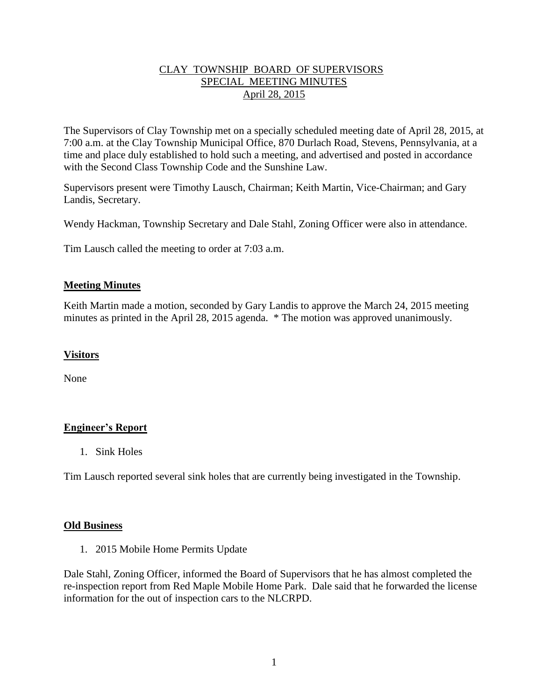# CLAY TOWNSHIP BOARD OF SUPERVISORS SPECIAL MEETING MINUTES April 28, 2015

The Supervisors of Clay Township met on a specially scheduled meeting date of April 28, 2015, at 7:00 a.m. at the Clay Township Municipal Office, 870 Durlach Road, Stevens, Pennsylvania, at a time and place duly established to hold such a meeting, and advertised and posted in accordance with the Second Class Township Code and the Sunshine Law.

Supervisors present were Timothy Lausch, Chairman; Keith Martin, Vice-Chairman; and Gary Landis, Secretary.

Wendy Hackman, Township Secretary and Dale Stahl, Zoning Officer were also in attendance.

Tim Lausch called the meeting to order at 7:03 a.m.

## **Meeting Minutes**

Keith Martin made a motion, seconded by Gary Landis to approve the March 24, 2015 meeting minutes as printed in the April 28, 2015 agenda. \* The motion was approved unanimously.

# **Visitors**

None

# **Engineer's Report**

1. Sink Holes

Tim Lausch reported several sink holes that are currently being investigated in the Township.

### **Old Business**

1. 2015 Mobile Home Permits Update

Dale Stahl, Zoning Officer, informed the Board of Supervisors that he has almost completed the re-inspection report from Red Maple Mobile Home Park. Dale said that he forwarded the license information for the out of inspection cars to the NLCRPD.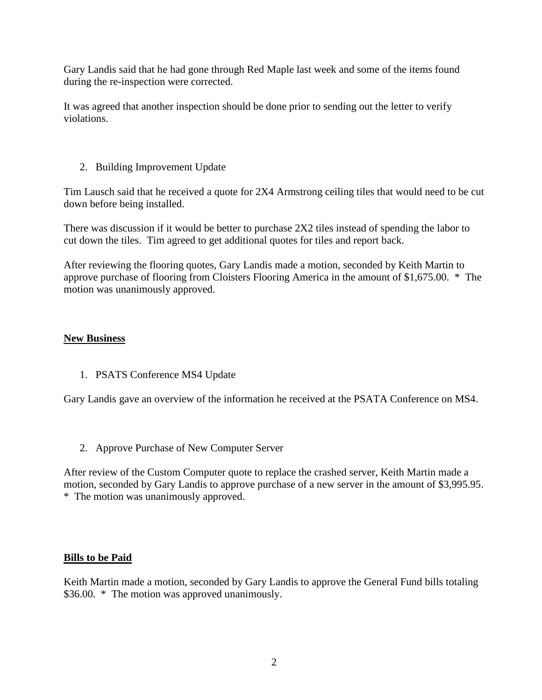Gary Landis said that he had gone through Red Maple last week and some of the items found during the re-inspection were corrected.

It was agreed that another inspection should be done prior to sending out the letter to verify violations.

# 2. Building Improvement Update

Tim Lausch said that he received a quote for 2X4 Armstrong ceiling tiles that would need to be cut down before being installed.

There was discussion if it would be better to purchase 2X2 tiles instead of spending the labor to cut down the tiles. Tim agreed to get additional quotes for tiles and report back.

After reviewing the flooring quotes, Gary Landis made a motion, seconded by Keith Martin to approve purchase of flooring from Cloisters Flooring America in the amount of \$1,675.00. \* The motion was unanimously approved.

## **New Business**

1. PSATS Conference MS4 Update

Gary Landis gave an overview of the information he received at the PSATA Conference on MS4.

2. Approve Purchase of New Computer Server

After review of the Custom Computer quote to replace the crashed server, Keith Martin made a motion, seconded by Gary Landis to approve purchase of a new server in the amount of \$3,995.95. \* The motion was unanimously approved.

### **Bills to be Paid**

Keith Martin made a motion, seconded by Gary Landis to approve the General Fund bills totaling \$36.00. \* The motion was approved unanimously.